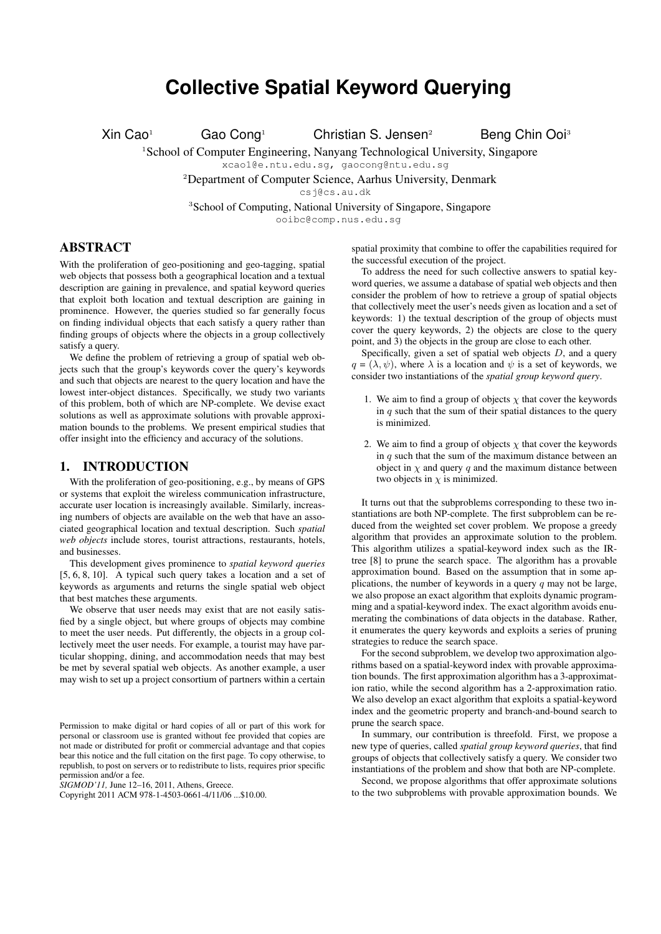# **Collective Spatial Keyword Querying**

 $X$ in Cao<sup>1</sup> Gao Cong<sup>1</sup> Christian S. Jensen<sup>2</sup> Beng Chin Ooi<sup>3</sup>

<sup>1</sup>School of Computer Engineering, Nanyang Technological University, Singapore

xcao1@e.ntu.edu.sg, gaocong@ntu.edu.sg

<sup>2</sup>Department of Computer Science, Aarhus University, Denmark

csj@cs.au.dk

<sup>3</sup>School of Computing, National University of Singapore, Singapore

ooibc@comp.nus.edu.sg

# ABSTRACT

With the proliferation of geo-positioning and geo-tagging, spatial web objects that possess both a geographical location and a textual description are gaining in prevalence, and spatial keyword queries that exploit both location and textual description are gaining in prominence. However, the queries studied so far generally focus on finding individual objects that each satisfy a query rather than finding groups of objects where the objects in a group collectively satisfy a query.

We define the problem of retrieving a group of spatial web objects such that the group's keywords cover the query's keywords and such that objects are nearest to the query location and have the lowest inter-object distances. Specifically, we study two variants of this problem, both of which are NP-complete. We devise exact solutions as well as approximate solutions with provable approximation bounds to the problems. We present empirical studies that offer insight into the efficiency and accuracy of the solutions.

# 1. INTRODUCTION

With the proliferation of geo-positioning, e.g., by means of GPS or systems that exploit the wireless communication infrastructure, accurate user location is increasingly available. Similarly, increasing numbers of objects are available on the web that have an associated geographical location and textual description. Such *spatial web objects* include stores, tourist attractions, restaurants, hotels, and businesses.

This development gives prominence to *spatial keyword queries* [5, 6, 8, 10]. A typical such query takes a location and a set of keywords as arguments and returns the single spatial web object that best matches these arguments.

We observe that user needs may exist that are not easily satisfied by a single object, but where groups of objects may combine to meet the user needs. Put differently, the objects in a group collectively meet the user needs. For example, a tourist may have particular shopping, dining, and accommodation needs that may best be met by several spatial web objects. As another example, a user may wish to set up a project consortium of partners within a certain

*SIGMOD'11,* June 12–16, 2011, Athens, Greece.

spatial proximity that combine to offer the capabilities required for the successful execution of the project.

To address the need for such collective answers to spatial keyword queries, we assume a database of spatial web objects and then consider the problem of how to retrieve a group of spatial objects that collectively meet the user's needs given as location and a set of keywords: 1) the textual description of the group of objects must cover the query keywords, 2) the objects are close to the query point, and 3) the objects in the group are close to each other.

Specifically, given a set of spatial web objects *D*, and a query  $q = (\lambda, \psi)$ , where  $\lambda$  is a location and  $\psi$  is a set of keywords, we consider two instantiations of the *spatial group keyword query*.

- 1. We aim to find a group of objects  $\gamma$  that cover the keywords in  $q$  such that the sum of their spatial distances to the query is minimized.
- 2. We aim to find a group of objects  $\chi$  that cover the keywords in *q* such that the sum of the maximum distance between an object in  $\chi$  and query  $q$  and the maximum distance between two objects in  $\chi$  is minimized.

It turns out that the subproblems corresponding to these two instantiations are both NP-complete. The first subproblem can be reduced from the weighted set cover problem. We propose a greedy algorithm that provides an approximate solution to the problem. This algorithm utilizes a spatial-keyword index such as the IRtree [8] to prune the search space. The algorithm has a provable approximation bound. Based on the assumption that in some applications, the number of keywords in a query *q* may not be large, we also propose an exact algorithm that exploits dynamic programming and a spatial-keyword index. The exact algorithm avoids enumerating the combinations of data objects in the database. Rather, it enumerates the query keywords and exploits a series of pruning strategies to reduce the search space.

For the second subproblem, we develop two approximation algorithms based on a spatial-keyword index with provable approximation bounds. The first approximation algorithm has a 3-approximation ratio, while the second algorithm has a 2-approximation ratio. We also develop an exact algorithm that exploits a spatial-keyword index and the geometric property and branch-and-bound search to prune the search space.

In summary, our contribution is threefold. First, we propose a new type of queries, called *spatial group keyword queries*, that find groups of objects that collectively satisfy a query. We consider two instantiations of the problem and show that both are NP-complete.

Second, we propose algorithms that offer approximate solutions to the two subproblems with provable approximation bounds. We

Permission to make digital or hard copies of all or part of this work for personal or classroom use is granted without fee provided that copies are not made or distributed for profit or commercial advantage and that copies bear this notice and the full citation on the first page. To copy otherwise, to republish, to post on servers or to redistribute to lists, requires prior specific permission and/or a fee.

Copyright 2011 ACM 978-1-4503-0661-4/11/06 ...\$10.00.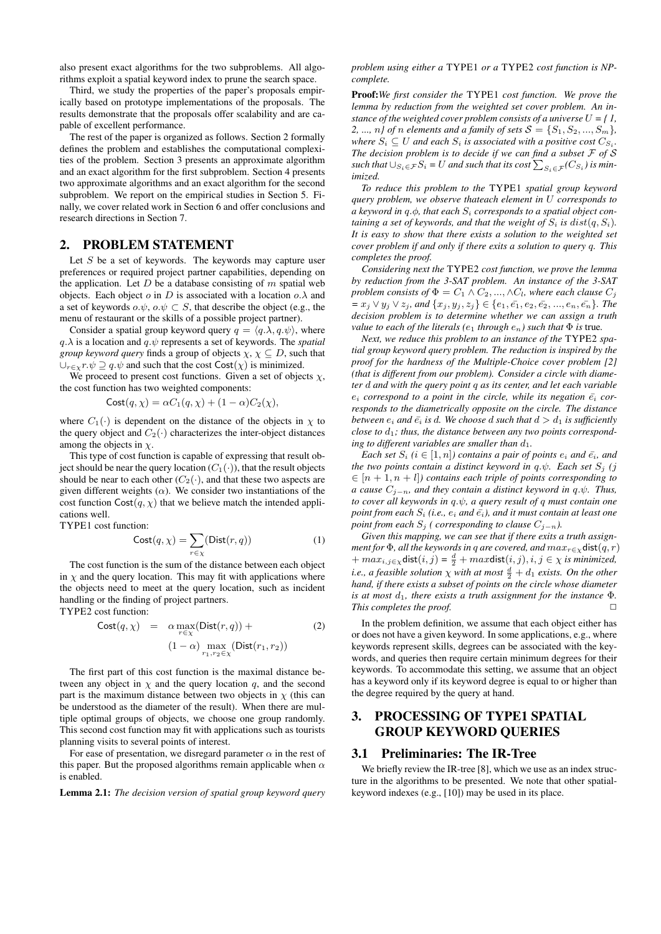also present exact algorithms for the two subproblems. All algorithms exploit a spatial keyword index to prune the search space.

Third, we study the properties of the paper's proposals empirically based on prototype implementations of the proposals. The results demonstrate that the proposals offer scalability and are capable of excellent performance.

The rest of the paper is organized as follows. Section 2 formally defines the problem and establishes the computational complexities of the problem. Section 3 presents an approximate algorithm and an exact algorithm for the first subproblem. Section 4 presents two approximate algorithms and an exact algorithm for the second subproblem. We report on the empirical studies in Section 5. Finally, we cover related work in Section 6 and offer conclusions and research directions in Section 7.

# 2. PROBLEM STATEMENT

Let *S* be a set of keywords. The keywords may capture user preferences or required project partner capabilities, depending on the application. Let *D* be a database consisting of *m* spatial web objects. Each object *o* in *D* is associated with a location *o.λ* and a set of keywords  $o.\psi$ ,  $o.\psi \subset S$ , that describe the object (e.g., the menu of restaurant or the skills of a possible project partner).

Consider a spatial group keyword query  $q = \langle q.\lambda, q.\psi \rangle$ , where *q.λ* is a location and *q.ψ* represents a set of keywords. The *spatial group keyword query* finds a group of objects  $\chi$ ,  $\chi \subseteq D$ , such that *∪*<sup>*r*</sup> $∈$ *x*<sup>*r*</sup>. $\psi$  *⊇ q*. $\psi$  and such that the cost Cost(*x*) is minimized.

We proceed to present cost functions. Given a set of objects  $\chi$ , the cost function has two weighted components:

$$
Cost(q, \chi) = \alpha C_1(q, \chi) + (1 - \alpha) C_2(\chi),
$$

where  $C_1(\cdot)$  is dependent on the distance of the objects in  $\chi$  to the query object and  $C_2(\cdot)$  characterizes the inter-object distances among the objects in *χ*.

This type of cost function is capable of expressing that result object should be near the query location  $(C_1(\cdot))$ , that the result objects should be near to each other  $(C_2(\cdot))$ , and that these two aspects are given different weights ( $\alpha$ ). We consider two instantiations of the cost function  $Cost(q, \chi)$  that we believe match the intended applications well.

TYPE1 cost function:

$$
Cost(q, \chi) = \sum_{r \in \chi} (Dist(r, q))
$$
 (1)

The cost function is the sum of the distance between each object in  $\chi$  and the query location. This may fit with applications where the objects need to meet at the query location, such as incident handling or the finding of project partners.

TYPE2 cost function:

Cost
$$
(q, \chi)
$$
 =  $\alpha \max_{r \in \chi} (\text{Dist}(r, q)) +$  (2)  

$$
(1 - \alpha) \max_{r_1, r_2 \in \chi} (\text{Dist}(r_1, r_2))
$$

The first part of this cost function is the maximal distance between any object in  $\chi$  and the query location *q*, and the second part is the maximum distance between two objects in  $\chi$  (this can be understood as the diameter of the result). When there are multiple optimal groups of objects, we choose one group randomly. This second cost function may fit with applications such as tourists planning visits to several points of interest.

For ease of presentation, we disregard parameter  $\alpha$  in the rest of this paper. But the proposed algorithms remain applicable when *α* is enabled.

Lemma 2.1: *The decision version of spatial group keyword query*

*problem using either a* TYPE1 *or a* TYPE2 *cost function is NPcomplete.*

Proof:*We first consider the* TYPE1 *cost function. We prove the lemma by reduction from the weighted set cover problem. An instance of the weighted cover problem consists of a universe*  $U = \{1, \}$ 2, ..., *n}* of *n elements and a family of sets*  $S = \{S_1, S_2, ..., S_m\}$ *, where*  $S_i \subseteq U$  *and each*  $S_i$  *is associated with a positive cost*  $C_{S_i}$ *.* The decision problem is to decide if we can find a subset  $F$  of  $S$ *such that*  $\cup_{S_i \in \mathcal{F}} S_i = U$  *and such that its cost*  $\sum_{S_i \in \mathcal{F}} (C_{S_i})$  *is minimized.*

*To reduce this problem to the* TYPE1 *spatial group keyword query problem, we observe thateach element in U corresponds to a keyword in q.ϕ, that each S<sup>i</sup> corresponds to a spatial object containing a set of keywords, and that the weight of*  $S_i$  *is*  $dist(q, S_i)$ *. It is easy to show that there exists a solution to the weighted set cover problem if and only if there exits a solution to query q. This completes the proof.*

*Considering next the* TYPE2 *cost function, we prove the lemma by reduction from the 3-SAT problem. An instance of the 3-SAT problem consists of*  $\Phi = C_1 \wedge C_2, ..., \wedge C_l$ *, where each clause*  $C_j$  $x = x_j \vee y_j \vee z_j$ , and  $\{x_j, y_j, z_j\} \in \{e_1, \overline{e_1}, e_2, \overline{e_2}, ..., e_n, \overline{e_n}\}$ . The *decision problem is to determine whether we can assign a truth value to each of the literals (* $e_1$  *through*  $e_n$ ) *such that*  $\Phi$  *is true.* 

*Next, we reduce this problem to an instance of the* TYPE2 *spatial group keyword query problem. The reduction is inspired by the proof for the hardness of the Multiple-Choice cover problem [2] (that is different from our problem). Consider a circle with diameter d and with the query point q as its center, and let each variable*  $e_i$  *correspond to a point in the circle, while its negation*  $\bar{e_i}$  *corresponds to the diametrically opposite on the circle. The distance between*  $e_i$  *and*  $\bar{e}_i$  *is d.* We choose *d* such that  $d > d_1$  *is sufficiently close to d*1*; thus, the distance between any two points corresponding to different variables are smaller than*  $d_1$ *.* 

*Each set*  $S_i$  ( $i \in [1, n]$ ) contains a pair of points  $e_i$  and  $\bar{e_i}$ , and *the two points contain a distinct keyword in*  $q.\psi$ *. Each set*  $S_i$  (*j ∈* [*n* + 1*, n* + *l*]*) contains each triple of points corresponding to a cause C<sup>j</sup>−<sup>n</sup>, and they contain a distinct keyword in q.ψ. Thus, to cover all keywords in q.ψ, a query result of q must contain one point from each*  $S_i$  (*i.e.,*  $e_i$  *and*  $\bar{e}_i$ *), and it must contain at least one point from each*  $S_i$  ( *corresponding to clause*  $C_{i-n}$ ).

*Given this mapping, we can see that if there exits a truth assignment for*  $\Phi$ *, all the keywords in q are covered, and*  $max_{r \in \chi}$ dist $(q, r)$  $+$   $max_{i,j \in \chi}$ dist $(i,j)$  =  $\frac{d}{2}$   $+$   $max$ dist $(i,j), i,j \in \chi$  *is minimized*, *i.e., a feasible solution*  $\chi$  *with at most*  $\frac{d}{2} + d_1$  *exists. On the other hand, if there exists a subset of points on the circle whose diameter is at most d*1*, there exists a truth assignment for the instance* Φ*. This completes the proof.*  $\Box$ 

In the problem definition, we assume that each object either has or does not have a given keyword. In some applications, e.g., where keywords represent skills, degrees can be associated with the keywords, and queries then require certain minimum degrees for their keywords. To accommodate this setting, we assume that an object has a keyword only if its keyword degree is equal to or higher than the degree required by the query at hand.

# 3. PROCESSING OF TYPE1 SPATIAL GROUP KEYWORD QUERIES

### 3.1 Preliminaries: The IR-Tree

We briefly review the IR-tree [8], which we use as an index structure in the algorithms to be presented. We note that other spatialkeyword indexes (e.g., [10]) may be used in its place.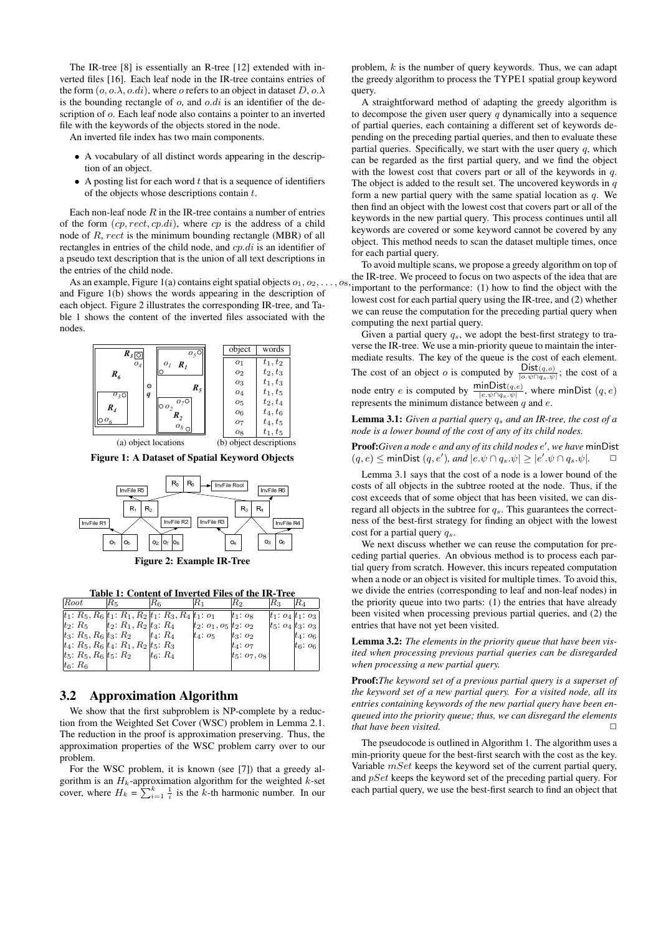The IR-tree [8] is essentially an R-tree [12] extended with inverted files [16]. Each leaf node in the IR-tree contains entries of the form  $(o, o, \lambda, o.di)$ , where *o* refers to an object in dataset *D*, *o.* $\lambda$ is the bounding rectangle of *o*, and *o.di* is an identifier of the description of *o*. Each leaf node also contains a pointer to an inverted file with the keywords of the objects stored in the node.

An inverted file index has two main components.

- *•* A vocabulary of all distinct words appearing in the description of an object.
- *•* A posting list for each word *t* that is a sequence of identifiers of the objects whose descriptions contain *t*.

Each non-leaf node *R* in the IR-tree contains a number of entries of the form (*cp, rect, cp.di*), where *cp* is the address of a child node of *R*, *rect* is the minimum bounding rectangle (MBR) of all rectangles in entries of the child node, and *cp.di* is an identifier of a pseudo text description that is the union of all text descriptions in the entries of the child node.

As an example, Figure 1(a) contains eight spatial objects  $o_1, o_2, \ldots$ and Figure 1(b) shows the words appearing in the description of each object. Figure 2 illustrates the corresponding IR-tree, and Table 1 shows the content of the inverted files associated with the nodes.



Figure 1: A Dataset of Spatial Keyword Objects



Figure 2: Example IR-Tree

|  | Table 1: Content of Inverted Files of the IR-Tree |  |  |
|--|---------------------------------------------------|--|--|
|  |                                                   |  |  |

| Root                                                        | $R_{\rm 5}$                | $\,R_6$       | $R_{\rm 1}$                         | lR2             | $R_3$ | $R_{4}$                  |
|-------------------------------------------------------------|----------------------------|---------------|-------------------------------------|-----------------|-------|--------------------------|
| $ t_1: R_5, R_6   t_1: R_1, R_2   t_1: R_3, R_4   t_1: o_1$ |                            |               |                                     | $t_1$ : $o_8$   |       | $ t_1: o_4   t_1: o_3  $ |
| $t_2: R_5$                                                  | $t_2: R_1, R_2$ $t_3: R_4$ |               | $t_2$ : $o_1$ , $o_5$ $t_2$ : $o_2$ |                 |       | $t_5: o_4 t_3: o_3$      |
| $t_3: R_5, R_6 \, t_3: R_2$                                 |                            | $t_4$ : $R_4$ | $t_4$ : $o_5$                       | $t_3$ : $o_2$   |       | $ t_4: o_6 $             |
| $t_4$ : $R_5$ , $R_6$ $t_4$ : $R_1$ , $R_2$ $t_5$ : $R_3$   |                            |               |                                     | $t_4$ : 07      |       | $ t_6: o_6 $             |
| $t_5: R_5, R_6   t_5: R_2$                                  |                            | $t_6$ : $R_4$ |                                     | $t_5: o_7, o_8$ |       |                          |
| $t_6$ : $R_6$                                               |                            |               |                                     |                 |       |                          |

# 3.2 Approximation Algorithm

We show that the first subproblem is NP-complete by a reduction from the Weighted Set Cover (WSC) problem in Lemma 2.1. The reduction in the proof is approximation preserving. Thus, the approximation properties of the WSC problem carry over to our problem.

For the WSC problem, it is known (see [7]) that a greedy algorithm is an  $H_k$ -approximation algorithm for the weighted  $k$ -set cover, where  $H_k = \sum_{i=1}^k \frac{1}{i}$  is the *k*-th harmonic number. In our

problem, *k* is the number of query keywords. Thus, we can adapt the greedy algorithm to process the TYPE1 spatial group keyword query.

A straightforward method of adapting the greedy algorithm is to decompose the given user query *q* dynamically into a sequence of partial queries, each containing a different set of keywords depending on the preceding partial queries, and then to evaluate these partial queries. Specifically, we start with the user query *q*, which can be regarded as the first partial query, and we find the object with the lowest cost that covers part or all of the keywords in *q*. The object is added to the result set. The uncovered keywords in *q* form a new partial query with the same spatial location as *q*. We then find an object with the lowest cost that covers part or all of the keywords in the new partial query. This process continues until all keywords are covered or some keyword cannot be covered by any object. This method needs to scan the dataset multiple times, once for each partial query.

To avoid multiple scans, we propose a greedy algorithm on top of the IR-tree. We proceed to focus on two aspects of the idea that are important to the performance: (1) how to find the object with the lowest cost for each partial query using the IR-tree, and (2) whether we can reuse the computation for the preceding partial query when computing the next partial query.

Given a partial query *qs*, we adopt the best-first strategy to traverse the IR-tree. We use a min-priority queue to maintain the intermediate results. The key of the queue is the cost of each element. The cost of an object *o* is computed by  $\frac{\text{Dist}(q, o)}{|o \cdot \psi \cap q_s \cdot \psi|}$ ; the cost of a node entry *e* is computed by  $\frac{\text{minDist}(q, e)}{|e \psi \cap q_s \psi|}$ , where minDist  $(q, e)$ represents the minimum distance between *q* and *e*.

#### Lemma 3.1: *Given a partial query q<sup>s</sup> and an IR-tree, the cost of a node is a lower bound of the cost of any of its child nodes.*

Proof:*Given a node e and any of its child nodes e ′ , we have* minDist  $(q, e) \le \text{minDist}(q, e'), \text{ and } |e \psi \cap q_s \psi| \ge |e' \psi \cap q_s \psi|.$ 

Lemma 3.1 says that the cost of a node is a lower bound of the costs of all objects in the subtree rooted at the node. Thus, if the cost exceeds that of some object that has been visited, we can disregard all objects in the subtree for *qs*. This guarantees the correctness of the best-first strategy for finding an object with the lowest cost for a partial query *qs*.

We next discuss whether we can reuse the computation for preceding partial queries. An obvious method is to process each partial query from scratch. However, this incurs repeated computation when a node or an object is visited for multiple times. To avoid this, we divide the entries (corresponding to leaf and non-leaf nodes) in the priority queue into two parts: (1) the entries that have already been visited when processing previous partial queries, and (2) the entries that have not yet been visited.

Lemma 3.2: *The elements in the priority queue that have been visited when processing previous partial queries can be disregarded when processing a new partial query.*

Proof:*The keyword set of a previous partial query is a superset of the keyword set of a new partial query. For a visited node, all its entries containing keywords of the new partial query have been enqueued into the priority queue; thus, we can disregard the elements that have been visited.* □

The pseudocode is outlined in Algorithm 1. The algorithm uses a min-priority queue for the best-first search with the cost as the key. Variable *mSet* keeps the keyword set of the current partial query, and *pSet* keeps the keyword set of the preceding partial query. For each partial query, we use the best-first search to find an object that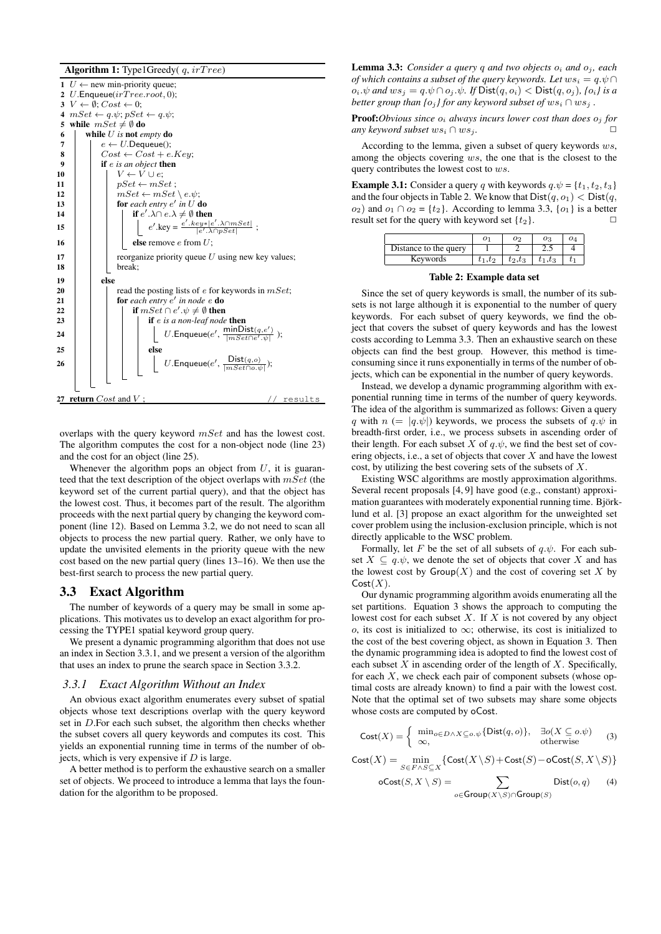#### Algorithm 1: Type1Greedy( *q*, *irT ree*)



overlaps with the query keyword *mSet* and has the lowest cost. The algorithm computes the cost for a non-object node (line 23) and the cost for an object (line 25).

Whenever the algorithm pops an object from *U*, it is guaranteed that the text description of the object overlaps with *mSet* (the keyword set of the current partial query), and that the object has the lowest cost. Thus, it becomes part of the result. The algorithm proceeds with the next partial query by changing the keyword component (line 12). Based on Lemma 3.2, we do not need to scan all objects to process the new partial query. Rather, we only have to update the unvisited elements in the priority queue with the new cost based on the new partial query (lines 13–16). We then use the best-first search to process the new partial query.

#### 3.3 Exact Algorithm

The number of keywords of a query may be small in some applications. This motivates us to develop an exact algorithm for processing the TYPE1 spatial keyword group query.

We present a dynamic programming algorithm that does not use an index in Section 3.3.1, and we present a version of the algorithm that uses an index to prune the search space in Section 3.3.2.

### *3.3.1 Exact Algorithm Without an Index*

An obvious exact algorithm enumerates every subset of spatial objects whose text descriptions overlap with the query keyword set in *D*.For each such subset, the algorithm then checks whether the subset covers all query keywords and computes its cost. This yields an exponential running time in terms of the number of objects, which is very expensive if *D* is large.

A better method is to perform the exhaustive search on a smaller set of objects. We proceed to introduce a lemma that lays the foundation for the algorithm to be proposed.

**Lemma 3.3:** Consider a query q and two objects  $o_i$  and  $o_j$ , each *of which contains a subset of the query keywords. Let*  $ws_i = q.\psi \cap$  $o_i \cdot \psi$  *and*  $ws_i = q \cdot \psi \cap o_j \cdot \psi$ *. If*  $Dist(q, o_i) < Dist(q, o_j)$ *, {* $o_i$ *} is a better group than {* $o_j$ *} for any keyword subset of*  $ws_i \cap ws_j$ .

Proof:*Obvious since o<sup>i</sup> always incurs lower cost than does o<sup>j</sup> for any keyword subset*  $ws_i ∩ ws_j$ .  $□$ 

According to the lemma, given a subset of query keywords *ws*, among the objects covering *ws*, the one that is the closest to the query contributes the lowest cost to *ws*.

**Example 3.1:** Consider a query *q* with keywords  $q.\psi = \{t_1, t_2, t_3\}$ and the four objects in Table 2. We know that  $Dist(q, o_1) < Dist(q, o_2)$ *o*<sub>2</sub>) and *o*<sub>1</sub> ∩ *o*<sub>2</sub> = {*t*<sub>2</sub>}. According to lemma 3.3, {*o*<sub>1</sub>} is a better result set for the query with keyword set  $\{t_2\}$ .

|                       | ο. | ОΩ        | 0з | O <sub>4</sub> |
|-----------------------|----|-----------|----|----------------|
| Distance to the query |    |           |    |                |
| Keywords              |    | $t_2,t_3$ |    |                |

#### Table 2: Example data set

Since the set of query keywords is small, the number of its subsets is not large although it is exponential to the number of query keywords. For each subset of query keywords, we find the object that covers the subset of query keywords and has the lowest costs according to Lemma 3.3. Then an exhaustive search on these objects can find the best group. However, this method is timeconsuming since it runs exponentially in terms of the number of objects, which can be exponential in the number of query keywords.

Instead, we develop a dynamic programming algorithm with exponential running time in terms of the number of query keywords. The idea of the algorithm is summarized as follows: Given a query *q* with  $n (= |q.\psi|)$  keywords, we process the subsets of  $q.\psi$  in breadth-first order, i.e., we process subsets in ascending order of their length. For each subset *X* of  $q.\psi$ , we find the best set of covering objects, i.e., a set of objects that cover *X* and have the lowest cost, by utilizing the best covering sets of the subsets of *X*.

Existing WSC algorithms are mostly approximation algorithms. Several recent proposals [4, 9] have good (e.g., constant) approximation guarantees with moderately exponential running time. Björklund et al. [3] propose an exact algorithm for the unweighted set cover problem using the inclusion-exclusion principle, which is not directly applicable to the WSC problem.

Formally, let *F* be the set of all subsets of  $q.\psi$ . For each subset  $X \subseteq q.\psi$ , we denote the set of objects that cover X and has the lowest cost by  $Group(X)$  and the cost of covering set X by  $Cost(X)$ .

Our dynamic programming algorithm avoids enumerating all the set partitions. Equation 3 shows the approach to computing the lowest cost for each subset *X*. If *X* is not covered by any object *o*, its cost is initialized to *∞*; otherwise, its cost is initialized to the cost of the best covering object, as shown in Equation 3. Then the dynamic programming idea is adopted to find the lowest cost of each subset *X* in ascending order of the length of *X*. Specifically, for each *X*, we check each pair of component subsets (whose optimal costs are already known) to find a pair with the lowest cost. Note that the optimal set of two subsets may share some objects whose costs are computed by oCost.

$$
\mathsf{Cost}(X) = \begin{cases} \min_{o \in D \land X \subseteq o.\psi} \{ \mathsf{Dist}(q, o) \}, & \exists o(X \subseteq o.\psi) \\ \infty, & \text{otherwise} \end{cases} \tag{3}
$$

$$
Cost(X) = \min_{S \in F \land S \subseteq X} \{ Cost(X \setminus S) + Cost(S) - oCost(S, X \setminus S) \}
$$

$$
\text{oCost}(S, X \setminus S) = \sum_{o \in \text{Group}(X \setminus S) \cap \text{Group}(S)} \text{Dist}(o, q) \tag{4}
$$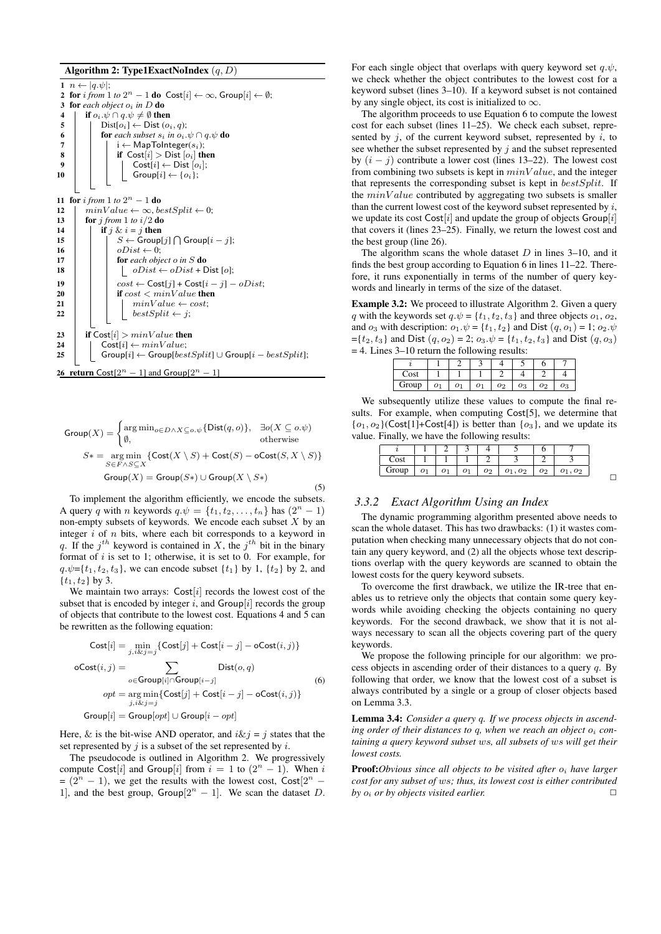#### Algorithm 2: Type1ExactNoIndex (*q, D*)

 $1 \quad n \leftarrow |q.\psi|;$ 2 for  $i$  *from* 1 *to*  $2^n - 1$  do  $Cost[i] \leftarrow \infty$ , Group $[i] \leftarrow \emptyset$ ; 3 for *each object*  $o_i$  *in D* do<br>4 **if**  $o_i \cdot \psi \cap a \cdot \psi \neq \emptyset$  the 4 if  $o_i \psi \cap q \psi \neq \emptyset$  then<br>5  $\Big|$   $\text{Dist}[o_i] \leftarrow \text{Dist}[o_i]$  $Dist[*o*<sub>i</sub>] \leftarrow Dist(*o*<sub>i</sub>, *q*);$ 6 **for** *each subset*  $s_i$  *in*  $o_i \psi \cap q \psi$  **do**<br>7 **i**  $\leftarrow$  MapToInteger( $s_i$ ): 7 i  $\leftarrow$  MapToInteger( $s_i$ );<br>**8** if Cost[ $i$ ] > Dist [ $o_i$ ] th 8 if  $Cost[i] > Dist[*o*<sub>i</sub>]$  then<br>9 cost $[i] \leftarrow Dist[*o*<sub>i</sub>]$ :  $\begin{array}{|c|c|c|c|c|}\n\hline\n9 & 10 & 1\n\end{array}$   $\begin{array}{|c|c|c|c|c|}\n\hline\n6 & 10 & 1\n\end{array}$  $Group[i] \leftarrow \{o_i\};$ 11 for *i from* 1 *to*  $2^n - 1$  **do** 12  $\mid$   $minValue \leftarrow \infty, bestSplit \leftarrow 0;$ 13 **for**  $j$  *from* 1 *to*  $i/2$  **do** 14 **if**  $j \& i = j$  then 15 *S ←* Group[*j*] ∩ Group[*i − j*]; 16 **b**  $\downarrow$  *oDist*  $\leftarrow$  0; 17 **for** *each object o* in *S* do 18 *oDist ← oDist* + Dist [*o*]; 19 *cost ←* Cost[*j*] + Cost[*i − j*] *− oDist*; 20 **if**  $cost < minValue$  then 21 | |  $\mid$  *minValue*  $\leftarrow$  *cost*; 22 **b**estSplit  $\leftarrow$  *j*; 23 if  $Cost[i] > minValue$  then<br>24 costiletti *i*  $-minValue$ : 24 Cost[*i*]  $\leftarrow minValue;$ <br>25 Croup[*i*]  $\leftarrow$  Group[*bes*]  $25$  Group $[6]$   $\leftarrow$  Group $[bestSplit]$   $\cup$  Group $[i - bestSplit]$ ; 26 return  $\text{Cost}[2^n - 1]$  and  $\text{Group}[2^n - 1]$ 

$$
\text{Group}(X) = \begin{cases} \arg \min_{O \in D \land X \subseteq o.\psi} \{ \text{Dist}(q, o) \}, & \exists o(X \subseteq o.\psi) \\ \emptyset, & \text{otherwise} \end{cases}
$$

$$
S* = \underset{S \in F \land S \subseteq X}{\arg \min} \{ \text{Cost}(X \setminus S) + \text{Cost}(S) - \text{oCost}(S, X \setminus S) \}
$$

$$
\text{Group}(X) = \text{Group}(S*) \cup \text{Group}(X \setminus S*) \tag{5}
$$

To implement the algorithm efficiently, we encode the subsets. A query *q* with *n* keywords  $q.\psi = \{t_1, t_2, \ldots, t_n\}$  has  $(2^n - 1)$ non-empty subsets of keywords. We encode each subset *X* by an integer *i* of *n* bits, where each bit corresponds to a keyword in *q*. If the  $j^{th}$  keyword is contained in *X*, the  $j^{th}$  bit in the binary format of *i* is set to 1; otherwise, it is set to 0. For example, for  $q.\psi = \{t_1, t_2, t_3\}$ , we can encode subset  $\{t_1\}$  by 1,  $\{t_2\}$  by 2, and  $\{t_1, t_2\}$  by 3.

We maintain two arrays: Cost<sup>[*i*]</sup> records the lowest cost of the subset that is encoded by integer  $i$ , and  $Group[i]$  records the group of objects that contribute to the lowest cost. Equations 4 and 5 can be rewritten as the following equation:

$$
Cost[i] = \min_{j,i:\&j=j} \{Cost[j] + Cost[i-j] - oCost(i,j)\}
$$

$$
oCost(i,j) = \sum_{o \in Group[i] \cap Group[i-j]} Dist(o,q)
$$

$$
opt = \underset{j,i:\&j=j}{arg min} \{Cost[j] + Cost[i-j] - oCost(i,j)\}
$$
(6)
$$
ord = \underset{j,i:\&j=j}{arg min} \{Cost[j] + Cost[i-j] - oCost(i,j)\}
$$

Here, & is the bit-wise AND operator, and  $i\&j = j$  states that the set represented by *j* is a subset of the set represented by *i*.

The pseudocode is outlined in Algorithm 2. We progressively compute Cost[ $i$ ] and Group[ $i$ ] from  $i = 1$  to  $(2<sup>n</sup> - 1)$ . When  $i$  $=(2<sup>n</sup> - 1)$ , we get the results with the lowest cost, Cost[ $2<sup>n</sup> - 1$ ] 1], and the best group,  $Group[2<sup>n</sup> - 1]$ . We scan the dataset *D*.

For each single object that overlaps with query keyword set  $q.\psi$ , we check whether the object contributes to the lowest cost for a keyword subset (lines 3–10). If a keyword subset is not contained by any single object, its cost is initialized to *∞*.

The algorithm proceeds to use Equation 6 to compute the lowest cost for each subset (lines 11–25). We check each subset, represented by *j*, of the current keyword subset, represented by *i*, to see whether the subset represented by *j* and the subset represented by  $(i - j)$  contribute a lower cost (lines 13–22). The lowest cost from combining two subsets is kept in *minV alue*, and the integer that represents the corresponding subset is kept in *bestSplit*. If the *minV alue* contributed by aggregating two subsets is smaller than the current lowest cost of the keyword subset represented by *i*, we update its cost Cost[*i*] and update the group of objects Group[*i*] that covers it (lines 23–25). Finally, we return the lowest cost and the best group (line 26).

The algorithm scans the whole dataset *D* in lines 3–10, and it finds the best group according to Equation 6 in lines 11–22. Therefore, it runs exponentially in terms of the number of query keywords and linearly in terms of the size of the dataset.

Example 3.2: We proceed to illustrate Algorithm 2. Given a query *q* with the keywords set  $q.\psi = \{t_1, t_2, t_3\}$  and three objects  $o_1, o_2$ , and  $o_3$  with description:  $o_1 \psi = \{t_1, t_2\}$  and Dist  $(q, o_1) = 1$ ;  $o_2 \psi$  $=\{t_2, t_3\}$  and Dist  $(q, o_2) = 2$ ;  $o_3 \psi = \{t_1, t_2, t_3\}$  and Dist  $(q, o_3)$  $= 4$ . Lines 3–10 return the following results:

| Cost  |    |    |    |    |          |    |    |
|-------|----|----|----|----|----------|----|----|
| Group | 01 | O. | o. | 02 | $^{o_3}$ | 02 | 03 |

We subsequently utilize these values to compute the final results. For example, when computing Cost[5], we determine that  ${o_1, o_2}$ (Cost[1]+Cost[4]) is better than  ${o_3}$ , and we update its value. Finally, we have the following results:

| Cost  |   |    |       |                |            |                |    |
|-------|---|----|-------|----------------|------------|----------------|----|
| Group | ο | O. | $O^+$ | O <sub>2</sub> | $o_1, o_2$ | O <sub>2</sub> | 02 |

 $\Box$ 

### *3.3.2 Exact Algorithm Using an Index*

The dynamic programming algorithm presented above needs to scan the whole dataset. This has two drawbacks: (1) it wastes computation when checking many unnecessary objects that do not contain any query keyword, and (2) all the objects whose text descriptions overlap with the query keywords are scanned to obtain the lowest costs for the query keyword subsets.

To overcome the first drawback, we utilize the IR-tree that enables us to retrieve only the objects that contain some query keywords while avoiding checking the objects containing no query keywords. For the second drawback, we show that it is not always necessary to scan all the objects covering part of the query keywords.

We propose the following principle for our algorithm: we process objects in ascending order of their distances to a query *q*. By following that order, we know that the lowest cost of a subset is always contributed by a single or a group of closer objects based on Lemma 3.3.

Lemma 3.4: *Consider a query q. If we process objects in ascending order of their distances to q, when we reach an object o<sup>i</sup> containing a query keyword subset ws, all subsets of ws will get their lowest costs.*

Proof:*Obvious since all objects to be visited after o<sup>i</sup> have larger cost for any subset of ws; thus, its lowest cost is either contributed by*  $o_i$  *or by objects visited earlier.*  $\Box$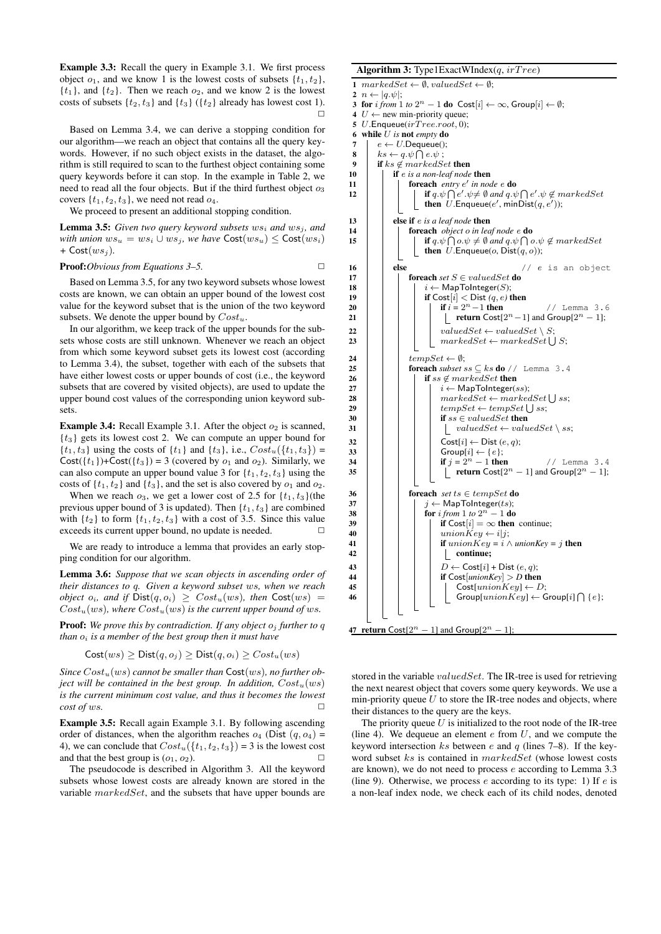Example 3.3: Recall the query in Example 3.1. We first process object  $o_1$ , and we know 1 is the lowest costs of subsets  $\{t_1, t_2\}$ ,  ${t_1}$ , and  ${t_2}$ . Then we reach  $o_2$ , and we know 2 is the lowest costs of subsets  $\{t_2, t_3\}$  and  $\{t_3\}$  ( $\{t_2\}$  already has lowest cost 1).  $\Box$ 

Based on Lemma 3.4, we can derive a stopping condition for our algorithm—we reach an object that contains all the query keywords. However, if no such object exists in the dataset, the algorithm is still required to scan to the furthest object containing some query keywords before it can stop. In the example in Table 2, we need to read all the four objects. But if the third furthest object *o*<sup>3</sup> covers  $\{t_1, t_2, t_3\}$ , we need not read  $o_4$ .

We proceed to present an additional stopping condition.

Lemma 3.5: *Given two query keyword subsets ws<sup>i</sup> and ws<sup>j</sup> , and with union*  $ws_u = ws_i \cup ws_j$ , we have  $Cost(ws_u) \leq Cost(ws_i)$ *+* Cost(*ws<sup>j</sup>* )*.*

#### **Proof:***Obvious from Equations 3–5.* □

Based on Lemma 3.5, for any two keyword subsets whose lowest costs are known, we can obtain an upper bound of the lowest cost value for the keyword subset that is the union of the two keyword subsets. We denote the upper bound by *Costu*.

In our algorithm, we keep track of the upper bounds for the subsets whose costs are still unknown. Whenever we reach an object from which some keyword subset gets its lowest cost (according to Lemma 3.4), the subset, together with each of the subsets that have either lowest costs or upper bounds of cost (i.e., the keyword subsets that are covered by visited objects), are used to update the upper bound cost values of the corresponding union keyword subsets.

**Example 3.4:** Recall Example 3.1. After the object  $o_2$  is scanned, {*t*3} gets its lowest cost 2. We can compute an upper bound for  ${t_1, t_3}$  using the costs of  ${t_1}$  and  ${t_3}$ , i.e.,  $Cost_u({t_1, t_3}) =$ Cost( $\{t_1\}$ )+Cost( $\{t_3\}$ ) = 3 (covered by  $o_1$  and  $o_2$ ). Similarly, we can also compute an upper bound value 3 for  $\{t_1, t_2, t_3\}$  using the costs of  $\{t_1, t_2\}$  and  $\{t_3\}$ , and the set is also covered by  $o_1$  and  $o_2$ .

When we reach  $o_3$ , we get a lower cost of 2.5 for  $\{t_1, t_3\}$  (the previous upper bound of 3 is updated). Then {*t*1*, t*3} are combined with  $\{t_2\}$  to form  $\{t_1, t_2, t_3\}$  with a cost of 3.5. Since this value exceeds its current upper bound, no update is needed.  $\Box$ 

We are ready to introduce a lemma that provides an early stopping condition for our algorithm.

Lemma 3.6: *Suppose that we scan objects in ascending order of their distances to q. Given a keyword subset ws, when we reach object*  $o_i$ *, and if*  $Dist(q, o_i) \ge Cost_u(ws)$ *, then*  $Cost(ws) =$  $Cost_u(ws)$ *, where*  $Cost_u(ws)$  *is the current upper bound of ws.* 

**Proof:** We prove this by contradiction. If any object  $o_j$  further to  $q$ *than o<sup>i</sup> is a member of the best group then it must have*

 $Cost(ws) \ge Dist(q,o_j) \ge Dist(q,o_i) \ge Cost(u,ws)$ 

*Since Costu*(*ws*) *cannot be smaller than* Cost(*ws*)*, no further object will be contained in the best group. In addition, Costu*(*ws*) *is the current minimum cost value, and thus it becomes the lowest*  $\cos t \text{ of } w \text{s.}$ 

Example 3.5: Recall again Example 3.1. By following ascending order of distances, when the algorithm reaches  $o_4$  (Dist  $(q, o_4)$  = 4), we can conclude that  $Cost_u({t_1, t_2, t_3}) = 3$  is the lowest cost and that the best group is  $(o_1, o_2)$ .

The pseudocode is described in Algorithm 3. All the keyword subsets whose lowest costs are already known are stored in the variable *markedSet*, and the subsets that have upper bounds are

#### Algorithm 3: Type1ExactWIndex(*q*, *irT ree*) 1  $markedSet \leftarrow \emptyset, valuedSet \leftarrow \emptyset;$ 2  $n \leftarrow |q.\psi|$ ; 3 for  $i$  *from* 1 *to*  $2^n - 1$  do  $Cost[i] \leftarrow \infty$ , Group $[i] \leftarrow \emptyset$ ; 4 *U ←* new min-priority queue; 5 *U*.Enqueue(*irT ree.root,* 0); 6 while *U is* not *empty* do  $7 \mid e \leftarrow U$ . Dequeue(): 8  $\vert$   $ks \leftarrow q.\psi \cap e.\psi$ ; 9 if  $ks \notin markedSet$  then<br>10 if *e* is a non-leaf node if *e* is a non-leaf node then 11 **foreach** *entry e'* in node *e* **do** 12 | **if**  $q.\psi \bigcap e'.\psi \neq \emptyset$  and  $q.\psi \bigcap e'.\psi \neq$  marked Set then  $U$ . Enqueue $(e', \text{minDist}(q, e'))$ ; 13 **else** if *e* is a leaf node then 14 foreach *object o in leaf node e* do 15  $\vert$  **if**  $q.\psi \cap o.\psi \neq \emptyset$  and  $q.\psi \cap o.\psi \neq$  marked Set then  $U$ . Enqueue $(o, \text{Dist}(q, o))$ ; 16 **else** // *e* is an object 17 **foreach** set  $S \in valuedSet$  **do** 18  $\vert \vert \vert \vert$   $\vert i \leftarrow$  MapToInteger(*S*); 19 | | | if  $\text{Cost}[i] < \text{Dist}(q, e)$  then 20 | | | **if**  $i = 2^n - 1$  then *<sup>n</sup>−*1 then // Lemma 3.6 21 | | | | **| return** Cost $[2^n - 1]$  and Group $[2^n - 1]$ ; 22 *valuedSet*  $\leftarrow$  *valuedSet*  $\setminus$  *S*;  $\begin{array}{|c|c|c|c|}\n\hline\n23 & 1 & 1 & 1 & 1 & 2 & 3 & 3 \\
\hline\n\end{array} \quad \text{and} \quad \text{markedSet} \leftarrow markedSet \bigcup S;$ 24 **d**  $tempSet \leftarrow \emptyset$ ; 25 | | **foreach** subset  $ss \subseteq ks$  do // Lemma 3.4 26 | | | if  $ss \notin markedSet$  then 27 **i**  $i \leftarrow \text{MapToInteger}(ss);$ <br>
28 *i*  $marketSet \leftarrow market$  $28$  | | | |  $markedSet \leftarrow markedSet \cup ss;$  ${29}$  | | |  $tempSet \leftarrow tempSet \cup ss;$ 30 if  $ss \in valuedSet$  then<br>31 igalax *valuedSet*  $\leftarrow value$  $\qquad$  *valuedSet*  $\leftarrow$  *valuedSet*  $\setminus$  *ss*;  $32 \mid \cdot \mid \cdot \mid \cdot \cdot \cdot$  Cost[*i*]  $\leftarrow$  Dist (*e, q*);  $33$   $\begin{array}{|c|c|c|c|c|}\n\hline\n\end{array}$   $\begin{array}{|c|c|c|c|}\n\hline\n\end{array}$   $\begin{array}{|c|c|c|c|}\n\hline\n\end{array}$   $\begin{array}{|c|c|c|c|}\n\hline\n\end{array}$   $\begin{array}{|c|c|c|c|}\n\hline\n\end{array}$   $\begin{array}{|c|c|c|c|}\n\hline\n\end{array}$   $\begin{array}{|c|c|c|c|}\n\hline\n\end{array}$ 34 | | | | if  $j = 2$ // Lemma 3.4 35 **|**  $|$  **|**  $|$  **| return** Cost $[2^n - 1]$  and Group $[2^n - 1]$ ; 36 for each *set*  $ts \in tempSet$  **do**<br>37 for  $j \leftarrow MapToInteger(ts);$ 37 **j**  $j \leftarrow \text{MapToInteger}(ts);$ <br>38 **for** *i from* 1 to  $2^n - 1$  do 38 **for** *i from* 1 *to*  $2^n - 1$  **do**  $39$  | | | | **if** Cost[i] =  $\infty$  then continue; 40 | | |  $\text{unionKey} \leftarrow i | j;$ 41 if  $unionKey = i \land unionKey = j$  then 42 | | | | | | continue; 43 *D ←* Cost[*i*] + Dist (*e, q*); 44 | | | | if  $\text{Cost}[\text{unionKey}] > D$  then 45 Cost[*unionKey*] *← D*; 46 Group[*unionKey*] *←* Group[*i*] ∩ {*e*};



stored in the variable *valuedSet*. The IR-tree is used for retrieving the next nearest object that covers some query keywords. We use a min-priority queue  $U$  to store the IR-tree nodes and objects, where their distances to the query are the keys.

The priority queue  $U$  is initialized to the root node of the IR-tree (line 4). We dequeue an element *e* from *U*, and we compute the keyword intersection *ks* between *e* and *q* (lines 7–8). If the keyword subset *ks* is contained in *markedSet* (whose lowest costs are known), we do not need to process *e* according to Lemma 3.3 (line 9). Otherwise, we process *e* according to its type: 1) If *e* is a non-leaf index node, we check each of its child nodes, denoted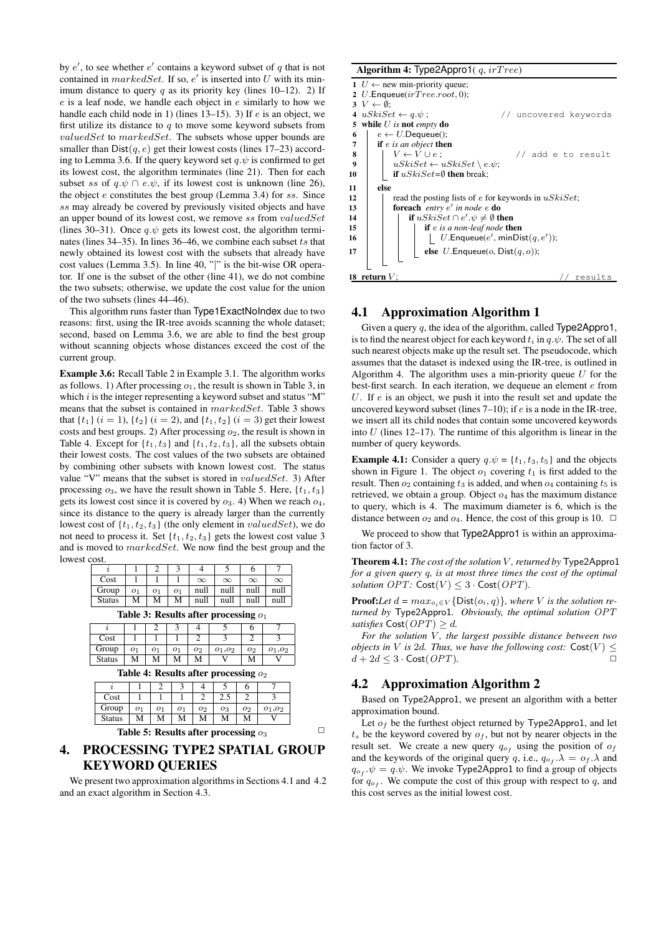by *e ′* , to see whether *e ′* contains a keyword subset of *q* that is not contained in  $markedSet$ . If so,  $e'$  is inserted into  $U$  with its minimum distance to query  $q$  as its priority key (lines 10–12). 2) If *e* is a leaf node, we handle each object in *e* similarly to how we handle each child node in 1) (lines 13–15). 3) If *e* is an object, we first utilize its distance to *q* to move some keyword subsets from *valuedSet* to *markedSet*. The subsets whose upper bounds are smaller than  $Dist(q, e)$  get their lowest costs (lines 17–23) according to Lemma 3.6. If the query keyword set  $q.\psi$  is confirmed to get its lowest cost, the algorithm terminates (line 21). Then for each subset *ss* of  $q.\psi \cap e.\psi$ , if its lowest cost is unknown (line 26), the object *e* constitutes the best group (Lemma 3.4) for *ss*. Since *ss* may already be covered by previously visited objects and have an upper bound of its lowest cost, we remove *ss* from *valuedSet* (lines 30–31). Once  $q.\psi$  gets its lowest cost, the algorithm terminates (lines 34–35). In lines 36–46, we combine each subset *ts* that newly obtained its lowest cost with the subsets that already have cost values (Lemma 3.5). In line 40, "*|*" is the bit-wise OR operator. If one is the subset of the other (line 41), we do not combine the two subsets; otherwise, we update the cost value for the union of the two subsets (lines 44–46).

This algorithm runs faster than Type1ExactNoIndex due to two reasons: first, using the IR-tree avoids scanning the whole dataset; second, based on Lemma 3.6, we are able to find the best group without scanning objects whose distances exceed the cost of the current group.

Example 3.6: Recall Table 2 in Example 3.1. The algorithm works as follows. 1) After processing  $o_1$ , the result is shown in Table 3, in which *i* is the integer representing a keyword subset and status "M" means that the subset is contained in *markedSet*. Table 3 shows that  $\{t_1\}$  ( $i = 1$ ),  $\{t_2\}$  ( $i = 2$ ), and  $\{t_1, t_2\}$  ( $i = 3$ ) get their lowest costs and best groups. 2) After processing  $o_2$ , the result is shown in Table 4. Except for  $\{t_1, t_3\}$  and  $\{t_1, t_2, t_3\}$ , all the subsets obtain their lowest costs. The cost values of the two subsets are obtained by combining other subsets with known lowest cost. The status value "V" means that the subset is stored in *valuedSet*. 3) After processing  $o_3$ , we have the result shown in Table 5. Here,  $\{t_1, t_3\}$ gets its lowest cost since it is covered by *o*3. 4) When we reach *o*4, since its distance to the query is already larger than the currently lowest cost of  $\{t_1, t_2, t_3\}$  (the only element in *valuedSet*), we do not need to process it. Set  $\{t_1, t_2, t_3\}$  gets the lowest cost value 3 and is moved to *markedSet*. We now find the best group and the lowest cost.

| Cost          |    |    |    | $\infty$ | $\infty$ | $\infty$ | $\infty$ |
|---------------|----|----|----|----------|----------|----------|----------|
| Group         | 01 | 01 | 01 | null     | null     | null     | null     |
| <b>Status</b> | M  | М  | М  | null     | null     | null     | null     |

Table 3: Results after processing *o*<sup>1</sup>

| Cost          |                |    |                |    |            |    |             |
|---------------|----------------|----|----------------|----|------------|----|-------------|
| Group         | O <sub>1</sub> | 01 | O <sub>1</sub> | 02 | $o_1, o_2$ | 02 | $_{o1, o2}$ |
| <b>Status</b> | М              | М  | М              | М  |            | М  |             |

|      |  |  | Table 4: Results after processing $o_2$ |  |
|------|--|--|-----------------------------------------|--|
|      |  |  |                                         |  |
| Cost |  |  |                                         |  |

Group *o*<sup>1</sup> *o*<sup>1</sup> *o*<sup>1</sup> *o*<sup>2</sup> *o*<sup>3</sup> *o*<sup>2</sup> *o*1,*o*<sup>2</sup>

| Status $\mid M \mid M \mid M \mid M \mid M \mid M$ |  |  |                                         |  |  |
|----------------------------------------------------|--|--|-----------------------------------------|--|--|
|                                                    |  |  | Table 5: Results after processing $o_3$ |  |  |

# 4. PROCESSING TYPE2 SPATIAL GROUP KEYWORD QUERIES

We present two approximation algorithms in Sections 4.1 and 4.2 and an exact algorithm in Section 4.3.

|    | Algorithm 4: Type2Appro1(q, $irTree$ )                    |
|----|-----------------------------------------------------------|
|    | 1 $U \leftarrow$ new min-priority queue;                  |
|    | 2 <i>U</i> .Enqueue $(irTree(root, 0);$                   |
|    | $3 V \leftarrow \emptyset$ :                              |
|    | 4 $uSkiSet \leftarrow q.\psi$ ;                           |
|    | // uncovered keywords                                     |
|    | 5 while $U$ is not empty do                               |
| 6  | $e \leftarrow U$ . Dequeue();                             |
| 7  | if $e$ is an object then                                  |
| 8  | $V \leftarrow V \cup e$ :<br>// add e to result           |
| 9  | $uSkiSet \leftarrow uSkiSet \setminus e.\psi;$            |
| 10 | <b>if</b> $uSkiSet = \emptyset$ then break;               |
|    |                                                           |
| 11 | else                                                      |
| 12 | read the posting lists of $e$ for keywords in $uSkiSet$ ; |
| 13 | <b>foreach</b> entry $e'$ in node $e$ <b>do</b>           |
| 14 | if $uSkiSet \cap e'.\psi \neq \emptyset$ then             |
| 15 | <b>if</b> $e$ is a non-leaf node <b>then</b>              |
| 16 | U.Enqueue $(e', \text{minDist}(q, e'))$ ;                 |
|    |                                                           |
| 17 | else U.Enqueue $(o, Dist(q, o))$ ;                        |
|    |                                                           |
|    |                                                           |
|    | 18 return $V$ :<br>results                                |

# 4.1 Approximation Algorithm 1

Given a query *q*, the idea of the algorithm, called Type2Appro1, is to find the nearest object for each keyword  $t_i$  in  $q.\psi$ . The set of all such nearest objects make up the result set. The pseudocode, which assumes that the dataset is indexed using the IR-tree, is outlined in Algorithm 4. The algorithm uses a min-priority queue *U* for the best-first search. In each iteration, we dequeue an element *e* from *U*. If *e* is an object, we push it into the result set and update the uncovered keyword subset (lines 7–10); if *e* is a node in the IR-tree, we insert all its child nodes that contain some uncovered keywords into *U* (lines 12–17). The runtime of this algorithm is linear in the number of query keywords.

**Example 4.1:** Consider a query  $q.\psi = \{t_1, t_3, t_5\}$  and the objects shown in Figure 1. The object  $o_1$  covering  $t_1$  is first added to the result. Then  $o_2$  containing  $t_3$  is added, and when  $o_4$  containing  $t_5$  is retrieved, we obtain a group. Object *o*<sup>4</sup> has the maximum distance to query, which is 4. The maximum diameter is 6, which is the distance between  $o_2$  and  $o_4$ . Hence, the cost of this group is 10.  $\Box$ 

We proceed to show that Type2Appro1 is within an approximation factor of 3.

Theorem 4.1: *The cost of the solution V , returned by* Type2Appro1 *for a given query q, is at most three times the cost of the optimal solution OPT:*  $Cost(V) \leq 3 \cdot Cost(OPT)$ *.* 

**Proof:***Let*  $d = max_{o_i \in V} {\text{Dist}(o_i, q)}$ *, where V is the solution returned by* Type2Appro1*. Obviously, the optimal solution OPT satisfies*  $Cost(OPT) \geq d$ *.* 

*For the solution V , the largest possible distance between two objects in V is* 2*d. Thus, we have the following cost:*  $\text{Cost}(V) \leq$  $d + 2d \leq 3 \cdot \text{Cost}(OPT)$ .

### 4.2 Approximation Algorithm 2

Based on Type2Appro1, we present an algorithm with a better approximation bound.

Let  $o_f$  be the furthest object returned by Type2Appro1, and let  $t<sub>s</sub>$  be the keyword covered by  $o<sub>f</sub>$ , but not by nearer objects in the result set. We create a new query  $q_{of}$  using the position of  $o_f$ and the keywords of the original query *q*, i.e.,  $q_{of}$ . $\lambda = o_f$ . $\lambda$  and  $q_{o_f}$ . $\psi = q.\psi$ . We invoke Type2Appro1 to find a group of objects for  $q_{o_f}$ . We compute the cost of this group with respect to  $q$ , and this cost serves as the initial lowest cost.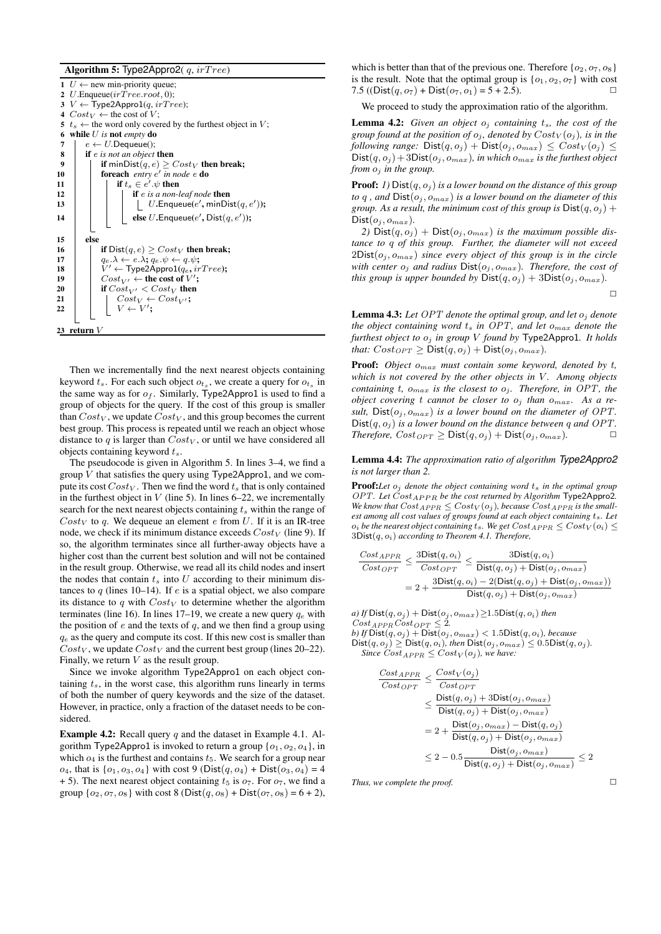#### Algorithm 5: Type2Appro2( *q*, *irT ree*)

 $U \leftarrow$  new min-priority queue: *U*.Enqueue(*irT ree.root,* 0);  $V \leftarrow$  Type2Appro1(*q*, *irTree*);  $Cost_V$  ← the cost of *V*;  $t_s \leftarrow$  the word only covered by the furthest object in *V*; while *U is* not *empty* do  $7 \mid e \leftarrow U$ .Dequeue(): if *e is not an object* then 9 if minDist $(q, e) \geq Cost_V$  then break;<br>10 foreach *entry e' in node e* do **foreach** entry *e'* in node *e* **do if**  $t_s \in e'$ .  $\psi$  then 12 | | | **if** *e* is a non-leaf node then  $|$   $|$   $|$   $|$   $U$ . Enqueue $(e', \text{minDist}(q, e'))$ ;  $|$   $|$   $|$   $|$  else *U*. Enqueue $(e', \text{Dist}(q, e'))$ ;  $\begin{array}{c|c} 15 & else \\ 16 & | \end{array}$ 16 if  $Dist(q, e) \geq Cost_V$  then break;<br>17  $q_{e, \lambda} \leftarrow e, \lambda; q_{e, \lambda} \uplus \leftarrow q, \psi;$  $q_e.\lambda \leftarrow e.\lambda; q_e.\psi \leftarrow q.\psi;$  $|V' \leftarrow \text{Type2Approl}(q_e, irTree);$  $\qquad$   $\qquad$   $Cost_{V'} \leftarrow$  the cost of  $V';$ 20 if  $Cost_{V'} < Cost_V$ <br>21 if  $Cost_V < Cost_V$ ;  $\begin{array}{c|c|c} \mathbf{21} & \multicolumn{1}{c|}{|c|} \ \hline \mathbf{22} & \multicolumn{1}{c|}{|c|} \ \hline \mathbf{23} & \multicolumn{1}{c|}{V \leftarrow V' \mathbf{2}} \end{array}$  $|$   $|$   $V \leftarrow V'$ ; 23 return *V*

Then we incrementally find the next nearest objects containing keyword  $t_s$ . For each such object  $o_{t_s}$ , we create a query for  $o_{t_s}$  in the same way as for  $o_f$ . Similarly, Type2Appro1 is used to find a group of objects for the query. If the cost of this group is smaller than  $Cost_V$ , we update  $Cost_V$ , and this group becomes the current best group. This process is repeated until we reach an object whose distance to *q* is larger than *Cost<sup>V</sup>* , or until we have considered all objects containing keyword *ts*.

The pseudocode is given in Algorithm 5. In lines 3–4, we find a group *V* that satisfies the query using Type2Appro1, and we compute its cost  $Cost_V$ . Then we find the word  $t_s$  that is only contained in the furthest object in  $V$  (line 5). In lines  $6-22$ , we incrementally search for the next nearest objects containing *t<sup>s</sup>* within the range of  $Cost_V$  to  $q$ . We dequeue an element  $e$  from  $U$ . If it is an IR-tree node, we check if its minimum distance exceeds  $Cost_V$  (line 9). If so, the algorithm terminates since all further-away objects have a higher cost than the current best solution and will not be contained in the result group. Otherwise, we read all its child nodes and insert the nodes that contain  $t_s$  into  $U$  according to their minimum distances to  $q$  (lines 10–14). If  $e$  is a spatial object, we also compare its distance to  $q$  with  $Cost_V$  to determine whether the algorithm terminates (line 16). In lines 17–19, we create a new query  $q_e$  with the position of *e* and the texts of *q*, and we then find a group using  $q_e$  as the query and compute its cost. If this new cost is smaller than  $Cost_V$ , we update  $Cost_V$  and the current best group (lines 20–22). Finally, we return *V* as the result group.

Since we invoke algorithm Type2Appro1 on each object containing *ts*, in the worst case, this algorithm runs linearly in terms of both the number of query keywords and the size of the dataset. However, in practice, only a fraction of the dataset needs to be considered.

Example 4.2: Recall query *q* and the dataset in Example 4.1. Algorithm Type2Appro1 is invoked to return a group {*o*1*, o*2*, o*4}, in which  $o_4$  is the furthest and contains  $t_5$ . We search for a group near *o*<sub>4</sub>, that is  $\{o_1, o_3, o_4\}$  with cost 9 (Dist $(q, o_4)$  + Dist $(o_3, o_4)$  = 4  $+ 5$ ). The next nearest object containing  $t_5$  is  $o_7$ . For  $o_7$ , we find a group  $\{o_2, o_7, o_8\}$  with cost 8 (Dist $(q, o_8)$  + Dist $(o_7, o_8)$  = 6 + 2),

which is better than that of the previous one. Therefore  $\{o_2, o_7, o_8\}$ is the result. Note that the optimal group is  $\{o_1, o_2, o_7\}$  with cost 7.5 (( $Dist(q, o_7) + Dist(o_7, o_1) = 5 + 2.5$ ).

We proceed to study the approximation ratio of the algorithm.

Lemma 4.2: *Given an object o<sup>j</sup> containing ts, the cost of the group found at the position of*  $o_j$ , *denoted by*  $Cost_V(o_j)$ *, is in the following range:*  $Dist(q, o_j) + Dist(o_j, o_{max}) \leq Cost_V(o_j) \leq$  $Dist(q, o_j) + 3Dist(o_j, o_{max})$ *, in which*  $o_{max}$  *is the furthest object from o<sup>j</sup> in the group.*

Proof: *1)* Dist(*q, o<sup>j</sup>* ) *is a lower bound on the distance of this group to*  $q$ , and  $Dist(o_j, o_{max})$  *is a lower bound on the diameter of this group. As a result, the minimum cost of this group is*  $Dist(q, o_i)$  +  $Dist(o_j, o_{max})$ .

2)  $Dist(q, o_j) + Dist(o_j, o_{max})$  *is the maximum possible distance to q of this group. Further, the diameter will not exceed*  $2Dist(o_i, o_{max})$  *since every object of this group is in the circle with center*  $o_j$  *and radius*  $Dist(o_j, o_{max})$ *. Therefore, the cost of this group is upper bounded by*  $Dist(q, o_j) + 3Dist(o_j, o_{max})$ .

Lemma 4.3: *Let OPT denote the optimal group, and let o<sup>j</sup> denote the object containing word*  $t_s$  *in OPT*, and let  $o_{max}$  *denote the furthest object to o<sup>j</sup> in group V found by* Type2Appro1*. It holds that:*  $Cost_{OPT} \geq Dist(q, o_j) + Dist(o_j, o_{max})$ .

Proof: *Object omax must contain some keyword, denoted by t, which is not covered by the other objects in V*. Among objects *containing t,*  $o_{max}$  *is the closest to*  $o_j$ *. Therefore, in OPT, the object covering t cannot be closer to*  $o_j$  *than*  $o_{max}$ *. As a result,*  $Dist(o_i, o_{max})$  *is a lower bound on the diameter of OPT.*  $Dist(q, o_i)$  *is a lower bound on the distance between q and OPT*. *Therefore,*  $Cost_{OPT} \geq Dist(q, o_j) + Dist(o_j, o_{max})$ .

Lemma 4.4: *The approximation ratio of algorithm Type2Appro2 is not larger than 2.*

Proof:*Let o<sup>j</sup> denote the object containing word t<sup>s</sup> in the optimal group OPT. Let CostAP P R be the cost returned by Algorithm* Type2Appro2*. We know that*  $Cost_{APPR} \leq Cost_V(o_j)$ *, because*  $Cost_{APPR}$  *is the smallest among all cost values of groups found at each object containing ts. Let o*<sup>*i*</sup> *be the nearest object containing t<sub>s</sub>.* We get  $Cost_{APPR} \leq Cost_{V}(o_i) \leq$ 3Dist(*q, oi*) *according to Theorem 4.1. Therefore,*

$$
\frac{Cost_{APPR}}{Cost_{OPT}} \le \frac{3\text{Dist}(q, o_i)}{Cost_{OPT}} \le \frac{3\text{Dist}(q, o_i)}{\text{Dist}(q, o_j) + \text{Dist}(o_j, o_{max})}
$$

$$
= 2 + \frac{3\text{Dist}(q, o_i) - 2(\text{Dist}(q, o_j) + \text{Dist}(o_j, o_{max}))}{\text{Dist}(q, o_j) + \text{Dist}(o_j, o_{max})}
$$

*a) If* Dist $(q, o_j)$  + Dist $(o_j, o_{max})$ ≥1*.5Dist* $(q, o_i)$  *then*  $Cost_{APPR}$ *Cost*<sub>*OPT*</sub>  $\leq$  2*.*  $b)$  If  $\textsf{Dist}(q, o_j) + \textsf{Dist}(o_j, o_{max}) < 1.5\textsf{Dist}(q, o_i)$ , because  $Dist(q, o_j) \geq Dist(q, o_i)$ *, then*  $Dist(o_j, o_{max}) \leq 0.5Dist(q, o_j)$ *. Since*  $Cost_{APPR} \leq Cost_{V}(o_i)$ *, we have:* 

$$
\begin{aligned} \frac{Cost_{APPR}}{Cost_{OPT}} &\leq \frac{Cost_{OPT}}{Cost_{OPT}} \\ &\leq \frac{Dist(q,o_j) + 3Dist(o_j, o_{max})}{Dist(q,o_j) + Dist(o_j, o_{max})} \\ &= 2 + \frac{Dist(o_j, o_{max}) - Dist(q,o_j)}{Dist(q,o_j) + Dist(o_j, o_{max})} \\ &\leq 2 - 0.5 \frac{Dist(o_j, o_{max})}{Dist(q,o_j) + Dist(o_j, o_{max})} \leq 2 \end{aligned}
$$

*Thus, we complete the proof.*  $\Box$ 

 $\Box$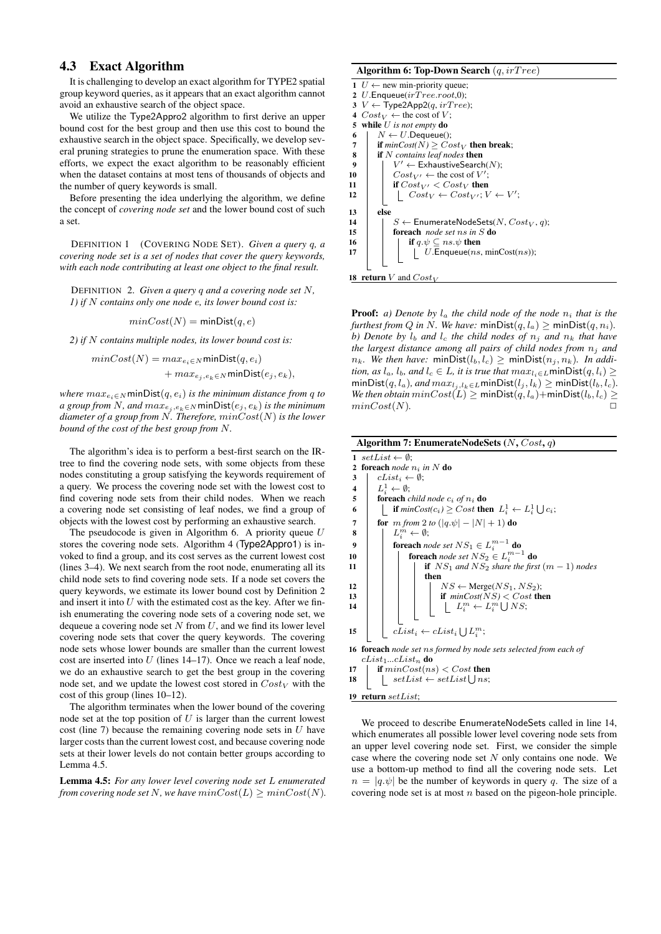# 4.3 Exact Algorithm

It is challenging to develop an exact algorithm for TYPE2 spatial group keyword queries, as it appears that an exact algorithm cannot avoid an exhaustive search of the object space.

We utilize the Type2Appro2 algorithm to first derive an upper bound cost for the best group and then use this cost to bound the exhaustive search in the object space. Specifically, we develop several pruning strategies to prune the enumeration space. With these efforts, we expect the exact algorithm to be reasonably efficient when the dataset contains at most tens of thousands of objects and the number of query keywords is small.

Before presenting the idea underlying the algorithm, we define the concept of *covering node set* and the lower bound cost of such a set.

DEFINITION 1 (COVERING NODE SET). *Given a query q, a covering node set is a set of nodes that cover the query keywords, with each node contributing at least one object to the final result.*

DEFINITION 2. *Given a query q and a covering node set N, 1) if N contains only one node e, its lower bound cost is:*

$$
minCost(N) = minDist(q, e)
$$

*2) if N contains multiple nodes, its lower bound cost is:*

$$
minCost(N) = max_{e_i \in N} minDist(q, e_i)
$$

$$
+ max_{e_j, e_k \in N} minDist(e_j, e_k),
$$

*where*  $max_{e_i \in N}$  **minDist** $(q, e_i)$  *is the minimum distance from q to a group from N, and*  $max_{e_j, e_k \in N}$  minDist $(e_j, e_k)$  *is the minimum diameter of a group from N. Therefore, minCost*(*N*) *is the lower bound of the cost of the best group from N.*

The algorithm's idea is to perform a best-first search on the IRtree to find the covering node sets, with some objects from these nodes constituting a group satisfying the keywords requirement of a query. We process the covering node set with the lowest cost to find covering node sets from their child nodes. When we reach a covering node set consisting of leaf nodes, we find a group of objects with the lowest cost by performing an exhaustive search.

The pseudocode is given in Algorithm 6. A priority queue *U* stores the covering node sets. Algorithm 4 (Type2Appro1) is invoked to find a group, and its cost serves as the current lowest cost (lines 3–4). We next search from the root node, enumerating all its child node sets to find covering node sets. If a node set covers the query keywords, we estimate its lower bound cost by Definition 2 and insert it into *U* with the estimated cost as the key. After we finish enumerating the covering node sets of a covering node set, we dequeue a covering node set *N* from *U*, and we find its lower level covering node sets that cover the query keywords. The covering node sets whose lower bounds are smaller than the current lowest cost are inserted into *U* (lines 14–17). Once we reach a leaf node, we do an exhaustive search to get the best group in the covering node set, and we update the lowest cost stored in  $Cost_V$  with the cost of this group (lines 10–12).

The algorithm terminates when the lower bound of the covering node set at the top position of *U* is larger than the current lowest cost (line 7) because the remaining covering node sets in *U* have larger costs than the current lowest cost, and because covering node sets at their lower levels do not contain better groups according to Lemma 4.5.

Lemma 4.5: *For any lower level covering node set L enumerated from covering node set N, we have*  $minCost(L) \geq minCost(N)$ *.* 

#### Algorithm 6: Top-Down Search (*q, irT ree*)

|    | 1 $U \leftarrow$ new min-priority queue;           |
|----|----------------------------------------------------|
|    | 2 <i>U</i> . Enqueue $(irTree(root, 0)$ ;          |
|    | 3 $V \leftarrow$ Type2App2( <i>q, irTree</i> );    |
| 4  | $Cost_V \leftarrow$ the cost of V;                 |
| 5  | while $U$ is not empty do                          |
| 6  | $N \leftarrow U$ .Dequeue();                       |
| 7  | if $minCost(N)$ > $Cost_V$ then break;             |
| 8  | <b>if</b> $N$ contains leaf nodes <b>then</b>      |
| 9  | $V' \leftarrow$ ExhaustiveSearch(N);               |
| 10 | $Cost_{V'} \leftarrow$ the cost of $V'$ :          |
| 11 | if $Cost_V$ < $Cost_V$ then                        |
| 12 | $Cost_V \leftarrow Cost_V$ ; $V \leftarrow V'$ ;   |
| 13 | else                                               |
| 14 | $S \leftarrow$ EnumerateNodeSets(N, $Cost_V$ , q); |
| 15 | <b>foreach</b> node set ns in $S$ <b>do</b>        |
| 16 | if $q \psi \subset ns \psi$ then                   |
| 17 | $U$ . Enqueue $(ns, minCost(ns));$                 |
|    |                                                    |
|    | <b>18 return</b> V and $Cost_V$                    |

**Proof:** *a)* Denote by  $l_a$  the child node of the node  $n_i$  that is the *furthest from Q in N.* We have: minDist $(q, l_a) \geq \text{minDist}(q, n_i)$ . *b)* Denote by  $l_b$  and  $l_c$  the child nodes of  $n_j$  and  $n_k$  that have *the largest distance among all pairs of child nodes from n<sup>j</sup> and*  $n_k$ *. We then have:* minDist $(l_b, l_c) \geq$  minDist $(n_i, n_k)$ *. In addition, as*  $l_a$ *,*  $l_b$ *, and*  $l_c \in L$ *, it is true that*  $max_{l_i \in L} minDist(q, l_i) \geq$  $\min$ Dist $(q, l_a)$ *, and*  $max_{l_j, l_k \in L}$  $\min$  $Dist(l_j, l_k) \geq \min$  $Dist(l_b, l_c)$ *. We then obtain*  $minCost(\tilde{L}) \geq minDist(q, l_a) + minDist(l_b, l_c) \geq$  $minCost(N)$ .

Algorithm 7: EnumerateNodeSets (*N*, *Cost*, *q*)

|    | 1 setList $\leftarrow \emptyset$ ;                                                                                                             |
|----|------------------------------------------------------------------------------------------------------------------------------------------------|
| 2  | <b>foreach</b> node $n_i$ in N <b>do</b>                                                                                                       |
| 3  | $cList_i \leftarrow \emptyset$ :                                                                                                               |
| 4  | $L^1_i \leftarrow \emptyset$ ;                                                                                                                 |
| 5  | <b>foreach</b> child node $c_i$ of $n_i$ <b>do</b>                                                                                             |
| 6  | if $minCost(c_i) \geq Cost$ then $L_i^1 \leftarrow L_i^1 \bigcup c_i$ ;                                                                        |
| 7  | <b>for</b> m from 2 to $( q.\psi  -  N  + 1)$ <b>do</b>                                                                                        |
| 8  | $L_i^m \leftarrow \emptyset$ ;                                                                                                                 |
| 9  | <b>foreach</b> node set $NS_1 \in L_i^{m-1}$ <b>do</b>                                                                                         |
| 10 | <b>foreach</b> node set $NS_2 \in L_i^{m-1}$ <b>do</b>                                                                                         |
| 11 | <b>if</b> $NS_1$ and $NS_2$ share the first $(m-1)$ nodes                                                                                      |
|    | then                                                                                                                                           |
| 12 | $NS \leftarrow \text{Merge}(NS_1, NS_2);$                                                                                                      |
| 13 |                                                                                                                                                |
| 14 | $NS \leftarrow \text{Merges}(N.S) < Cost$<br>if $minCost(NS) < Cost$ then<br>$\begin{bmatrix} L_i^m \leftarrow L_i^m \bigcup NS \end{bmatrix}$ |
|    |                                                                                                                                                |
|    |                                                                                                                                                |
| 15 | $cList_i \leftarrow cList_i \bigcup L_i^m;$                                                                                                    |
|    | 16 foreach node set ns formed by node sets selected from each of                                                                               |
|    | $\emph{clist}_1 \ldots \emph{clist}_n$ do                                                                                                      |
|    |                                                                                                                                                |

17  $|$  **if**  $minCost(ns) < Cost$  then 18  $\vert$  *setList*  $\leftarrow$  *setList*  $\bigcup$  *ns*;

19 return *setList*;

We proceed to describe EnumerateNodeSets called in line 14, which enumerates all possible lower level covering node sets from an upper level covering node set. First, we consider the simple case where the covering node set *N* only contains one node. We use a bottom-up method to find all the covering node sets. Let  $n = |q \psi|$  be the number of keywords in query *q*. The size of a covering node set is at most *n* based on the pigeon-hole principle.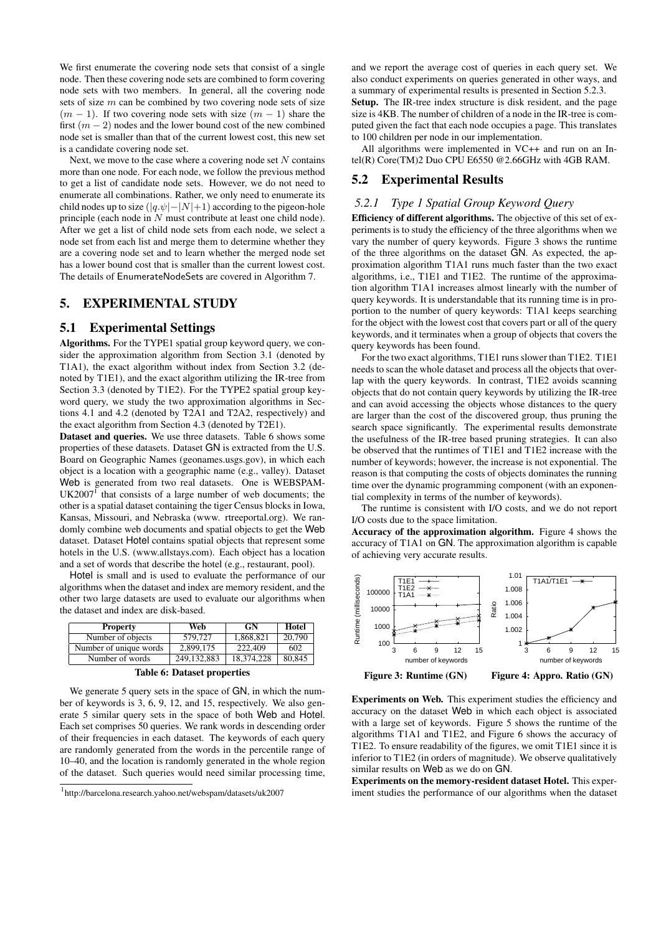We first enumerate the covering node sets that consist of a single node. Then these covering node sets are combined to form covering node sets with two members. In general, all the covering node sets of size *m* can be combined by two covering node sets of size  $(m - 1)$ . If two covering node sets with size  $(m - 1)$  share the first (*m −* 2) nodes and the lower bound cost of the new combined node set is smaller than that of the current lowest cost, this new set is a candidate covering node set.

Next, we move to the case where a covering node set *N* contains more than one node. For each node, we follow the previous method to get a list of candidate node sets. However, we do not need to enumerate all combinations. Rather, we only need to enumerate its child nodes up to size  $(|q.\psi| - |N| + 1)$  according to the pigeon-hole principle (each node in *N* must contribute at least one child node). After we get a list of child node sets from each node, we select a node set from each list and merge them to determine whether they are a covering node set and to learn whether the merged node set has a lower bound cost that is smaller than the current lowest cost. The details of EnumerateNodeSets are covered in Algorithm 7.

# 5. EXPERIMENTAL STUDY

### 5.1 Experimental Settings

Algorithms. For the TYPE1 spatial group keyword query, we consider the approximation algorithm from Section 3.1 (denoted by T1A1), the exact algorithm without index from Section 3.2 (denoted by T1E1), and the exact algorithm utilizing the IR-tree from Section 3.3 (denoted by T1E2). For the TYPE2 spatial group keyword query, we study the two approximation algorithms in Sections 4.1 and 4.2 (denoted by T2A1 and T2A2, respectively) and the exact algorithm from Section 4.3 (denoted by T2E1).

Dataset and queries. We use three datasets. Table 6 shows some properties of these datasets. Dataset GN is extracted from the U.S. Board on Geographic Names (geonames.usgs.gov), in which each object is a location with a geographic name (e.g., valley). Dataset Web is generated from two real datasets. One is WEBSPAM- $UK2007<sup>1</sup>$  that consists of a large number of web documents; the other is a spatial dataset containing the tiger Census blocks in Iowa, Kansas, Missouri, and Nebraska (www. rtreeportal.org). We randomly combine web documents and spatial objects to get the Web dataset. Dataset Hotel contains spatial objects that represent some hotels in the U.S. (www.allstays.com). Each object has a location and a set of words that describe the hotel (e.g., restaurant, pool).

Hotel is small and is used to evaluate the performance of our algorithms when the dataset and index are memory resident, and the other two large datasets are used to evaluate our algorithms when the dataset and index are disk-based.

| <b>Property</b>        | Web         | GN         | Hotel  |
|------------------------|-------------|------------|--------|
| Number of objects      | 579,727     | 1.868.821  | 20,790 |
| Number of unique words | 2.899.175   | 222,409    | 602    |
| Number of words        | 249.132.883 | 18.374.228 | 80.845 |



We generate 5 query sets in the space of GN, in which the number of keywords is 3, 6, 9, 12, and 15, respectively. We also generate 5 similar query sets in the space of both Web and Hotel. Each set comprises 50 queries. We rank words in descending order of their frequencies in each dataset. The keywords of each query are randomly generated from the words in the percentile range of 10–40, and the location is randomly generated in the whole region of the dataset. Such queries would need similar processing time,

and we report the average cost of queries in each query set. We also conduct experiments on queries generated in other ways, and a summary of experimental results is presented in Section 5.2.3. Setup. The IR-tree index structure is disk resident, and the page size is 4KB. The number of children of a node in the IR-tree is computed given the fact that each node occupies a page. This translates to 100 children per node in our implementation.

All algorithms were implemented in VC++ and run on an Intel(R) Core(TM)2 Duo CPU E6550 @2.66GHz with 4GB RAM.

# 5.2 Experimental Results

# *5.2.1 Type 1 Spatial Group Keyword Query*

Efficiency of different algorithms. The objective of this set of experiments is to study the efficiency of the three algorithms when we vary the number of query keywords. Figure 3 shows the runtime of the three algorithms on the dataset GN. As expected, the approximation algorithm T1A1 runs much faster than the two exact algorithms, i.e., T1E1 and T1E2. The runtime of the approximation algorithm T1A1 increases almost linearly with the number of query keywords. It is understandable that its running time is in proportion to the number of query keywords: T1A1 keeps searching for the object with the lowest cost that covers part or all of the query keywords, and it terminates when a group of objects that covers the query keywords has been found.

For the two exact algorithms, T1E1 runs slower than T1E2. T1E1 needs to scan the whole dataset and process all the objects that overlap with the query keywords. In contrast, T1E2 avoids scanning objects that do not contain query keywords by utilizing the IR-tree and can avoid accessing the objects whose distances to the query are larger than the cost of the discovered group, thus pruning the search space significantly. The experimental results demonstrate the usefulness of the IR-tree based pruning strategies. It can also be observed that the runtimes of T1E1 and T1E2 increase with the number of keywords; however, the increase is not exponential. The reason is that computing the costs of objects dominates the running time over the dynamic programming component (with an exponential complexity in terms of the number of keywords).

The runtime is consistent with I/O costs, and we do not report I/O costs due to the space limitation.

Accuracy of the approximation algorithm. Figure 4 shows the accuracy of T1A1 on GN. The approximation algorithm is capable of achieving very accurate results.



Experiments on Web. This experiment studies the efficiency and accuracy on the dataset Web in which each object is associated with a large set of keywords. Figure 5 shows the runtime of the algorithms T1A1 and T1E2, and Figure 6 shows the accuracy of T1E2. To ensure readability of the figures, we omit T1E1 since it is inferior to T1E2 (in orders of magnitude). We observe qualitatively similar results on Web as we do on GN.

Experiments on the memory-resident dataset Hotel. This experiment studies the performance of our algorithms when the dataset

<sup>1</sup> http://barcelona.research.yahoo.net/webspam/datasets/uk2007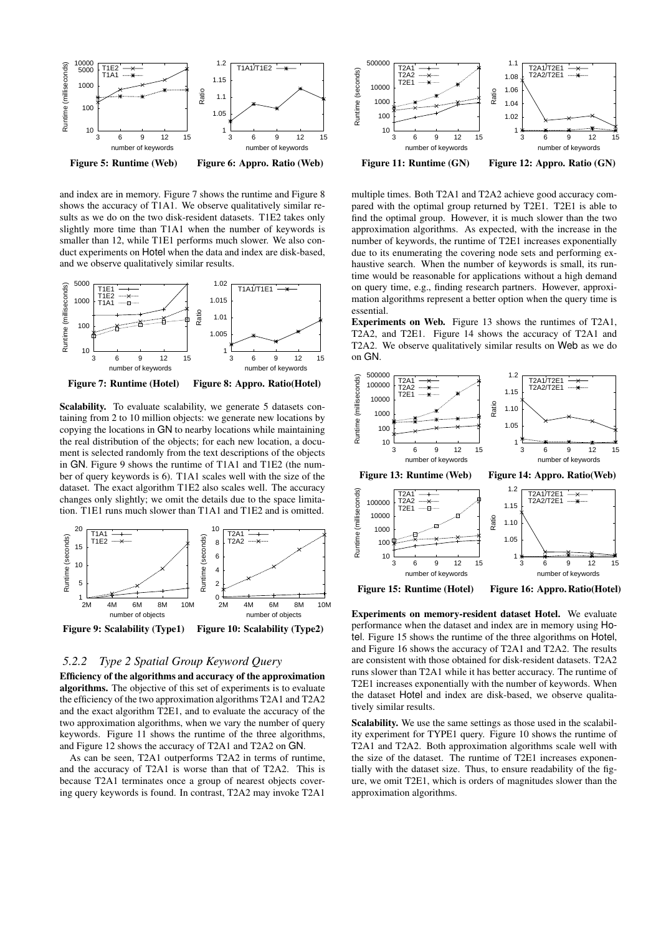

and index are in memory. Figure 7 shows the runtime and Figure 8 shows the accuracy of T1A1. We observe qualitatively similar results as we do on the two disk-resident datasets. T1E2 takes only slightly more time than T1A1 when the number of keywords is smaller than 12, while T1E1 performs much slower. We also conduct experiments on Hotel when the data and index are disk-based, and we observe qualitatively similar results.



Scalability. To evaluate scalability, we generate 5 datasets containing from 2 to 10 million objects: we generate new locations by copying the locations in GN to nearby locations while maintaining the real distribution of the objects; for each new location, a document is selected randomly from the text descriptions of the objects in GN. Figure 9 shows the runtime of T1A1 and T1E2 (the number of query keywords is 6). T1A1 scales well with the size of the dataset. The exact algorithm T1E2 also scales well. The accuracy changes only slightly; we omit the details due to the space limitation. T1E1 runs much slower than T1A1 and T1E2 and is omitted.



### *5.2.2 Type 2 Spatial Group Keyword Query*

Efficiency of the algorithms and accuracy of the approximation algorithms. The objective of this set of experiments is to evaluate the efficiency of the two approximation algorithms T2A1 and T2A2 and the exact algorithm T2E1, and to evaluate the accuracy of the two approximation algorithms, when we vary the number of query keywords. Figure 11 shows the runtime of the three algorithms, and Figure 12 shows the accuracy of T2A1 and T2A2 on GN.

As can be seen, T2A1 outperforms T2A2 in terms of runtime, and the accuracy of T2A1 is worse than that of T2A2. This is because T2A1 terminates once a group of nearest objects covering query keywords is found. In contrast, T2A2 may invoke T2A1



multiple times. Both T2A1 and T2A2 achieve good accuracy compared with the optimal group returned by T2E1. T2E1 is able to find the optimal group. However, it is much slower than the two approximation algorithms. As expected, with the increase in the number of keywords, the runtime of T2E1 increases exponentially due to its enumerating the covering node sets and performing exhaustive search. When the number of keywords is small, its runtime would be reasonable for applications without a high demand on query time, e.g., finding research partners. However, approximation algorithms represent a better option when the query time is essential.

Experiments on Web. Figure 13 shows the runtimes of T2A1, T2A2, and T2E1. Figure 14 shows the accuracy of T2A1 and T2A2. We observe qualitatively similar results on Web as we do on GN.



Experiments on memory-resident dataset Hotel. We evaluate performance when the dataset and index are in memory using Hotel. Figure 15 shows the runtime of the three algorithms on Hotel, and Figure 16 shows the accuracy of T2A1 and T2A2. The results are consistent with those obtained for disk-resident datasets. T2A2 runs slower than T2A1 while it has better accuracy. The runtime of T2E1 increases exponentially with the number of keywords. When the dataset Hotel and index are disk-based, we observe qualitatively similar results.

Scalability. We use the same settings as those used in the scalability experiment for TYPE1 query. Figure 10 shows the runtime of T2A1 and T2A2. Both approximation algorithms scale well with the size of the dataset. The runtime of T2E1 increases exponentially with the dataset size. Thus, to ensure readability of the figure, we omit T2E1, which is orders of magnitudes slower than the approximation algorithms.